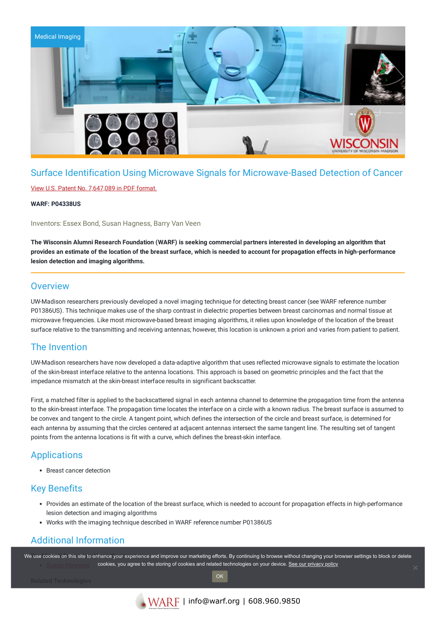

# Surface Identification Using Microwave Signals for Microwave-Based Detection of Cancer

#### View U.S. Patent No. [7,647,089](https://www.warf.org/wp-content/uploads/technologies/ipstatus/P04338US.PDF) in PDF format.

#### **WARF: P04338US**

Inventors: Essex Bond, Susan Hagness, Barry Van Veen

The Wisconsin Alumni Research Foundation (WARF) is seeking commercial partners interested in developing an algorithm that provides an estimate of the location of the breast surface, which is needed to account for propagation effects in high-performance **lesion detection and imaging algorithms.**

#### **Overview**

UW-Madison researchers previously developed a novel imaging technique for detecting breast cancer (see WARF reference number P01386US). This technique makes use of the sharp contrast in dielectric properties between breast carcinomas and normal tissue at microwave frequencies. Like most microwave-based breast imaging algorithms, it relies upon knowledge of the location of the breast surface relative to the transmitting and receiving antennas; however, this location is unknown a priori and varies from patient to patient.

## The Invention

UW-Madison researchers have now developed a data-adaptive algorithm that uses reflected microwave signals to estimate the location of the skin-breast interface relative to the antenna locations. This approach is based on geometric principles and the fact that the impedance mismatch at the skin-breast interface results in significant backscatter.

First, a matched filter is applied to the backscattered signal in each antenna channel to determine the propagation time from the antenna to the skin-breast interface. The propagation time locates the interface on a circle with a known radius. The breast surface is assumed to be convex and tangent to the circle. A tangent point, which defines the intersection of the circle and breast surface, is determined for each antenna by assuming that the circles centered at adjacent antennas intersect the same tangent line. The resulting set of tangent points from the antenna locations is fit with a curve, which defines the breast-skin interface.

## **Applications**

Breast cancer detection

## Key Benefits

- Provides an estimate of the location of the breast surface, which is needed to account for propagation effects in high-performance lesion detection and imaging algorithms
- Works with the imaging technique described in WARF reference number P01386US

## Additional Information

We use cookies on this site to enhance your experience and improve our marketing efforts. By continuing to browse without changing your browser settings to block or delete cookies, you agree to the storing of cookies and related technologies on your device. [See our privacy policy](https://www.warf.org/privacy-policy/)

OK